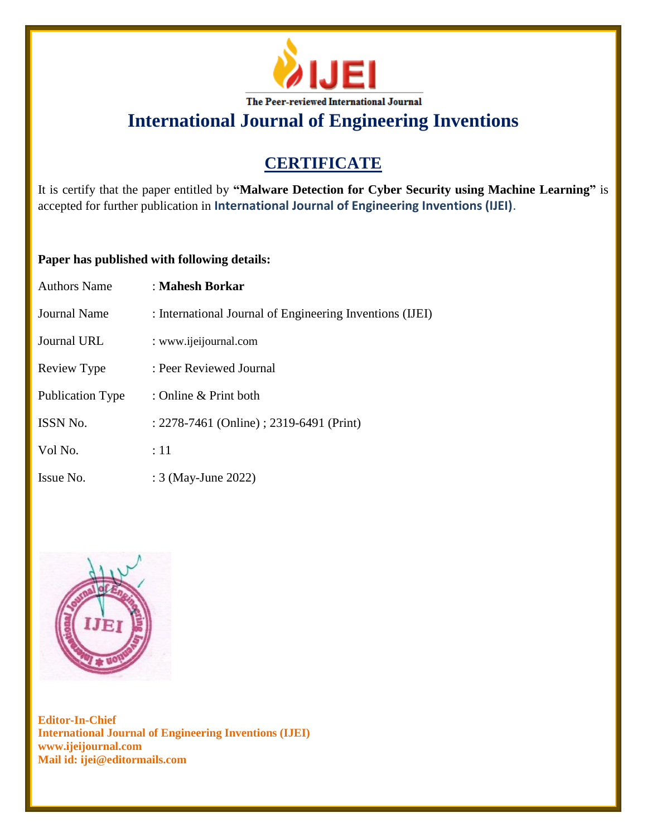

# **CERTIFICATE**

It is certify that the paper entitled by **"Malware Detection for Cyber Security using Machine Learning"** is accepted for further publication in **International Journal of Engineering Inventions (IJEI)**.

## **Paper has published with following details:**

| <b>Authors Name</b>     | : Mahesh Borkar                                          |
|-------------------------|----------------------------------------------------------|
| Journal Name            | : International Journal of Engineering Inventions (IJEI) |
| Journal URL             | : www.ijeijournal.com                                    |
| Review Type             | : Peer Reviewed Journal                                  |
| <b>Publication Type</b> | : Online & Print both                                    |
| <b>ISSN No.</b>         | : 2278-7461 (Online) ; 2319-6491 (Print)                 |
| Vol No.                 | :11                                                      |
| Issue No.               | : 3 (May-June 2022)                                      |

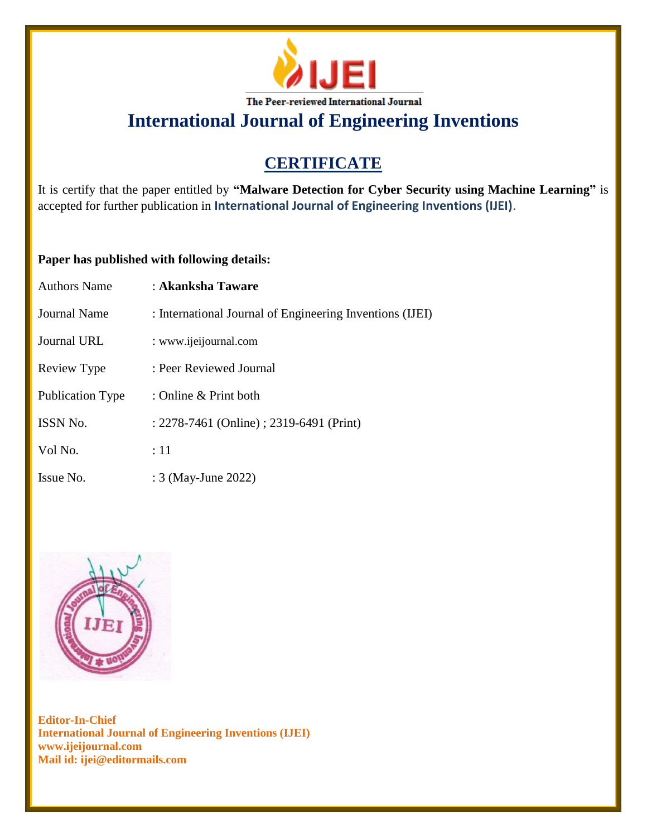

# **CERTIFICATE**

It is certify that the paper entitled by **"Malware Detection for Cyber Security using Machine Learning"** is accepted for further publication in **International Journal of Engineering Inventions (IJEI)**.

## **Paper has published with following details:**

| <b>Authors Name</b>     | : Akanksha Taware                                        |
|-------------------------|----------------------------------------------------------|
| <b>Journal Name</b>     | : International Journal of Engineering Inventions (IJEI) |
| Journal URL             | : www.ijeijournal.com                                    |
| Review Type             | : Peer Reviewed Journal                                  |
| <b>Publication Type</b> | : Online $&$ Print both                                  |
| <b>ISSN No.</b>         | : 2278-7461 (Online) ; 2319-6491 (Print)                 |
| Vol No.                 | :11                                                      |
| Issue No.               | : 3 (May-June 2022)                                      |

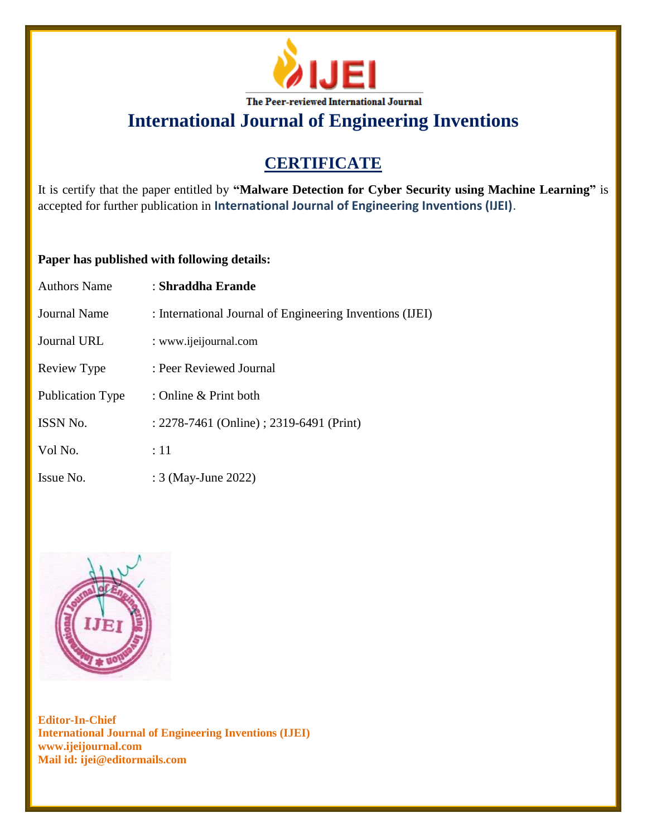

# **CERTIFICATE**

It is certify that the paper entitled by **"Malware Detection for Cyber Security using Machine Learning"** is accepted for further publication in **International Journal of Engineering Inventions (IJEI)**.

## **Paper has published with following details:**

| <b>Authors Name</b> | : Shraddha Erande                                        |
|---------------------|----------------------------------------------------------|
| Journal Name        | : International Journal of Engineering Inventions (IJEI) |
| <b>Journal URL</b>  | : www.ijeijournal.com                                    |
| Review Type         | : Peer Reviewed Journal                                  |
| Publication Type    | : Online $&$ Print both                                  |
| ISSN No.            | : 2278-7461 (Online) ; 2319-6491 (Print)                 |
| Vol No.             | :11                                                      |
| Issue No.           | : 3 (May-June 2022)                                      |

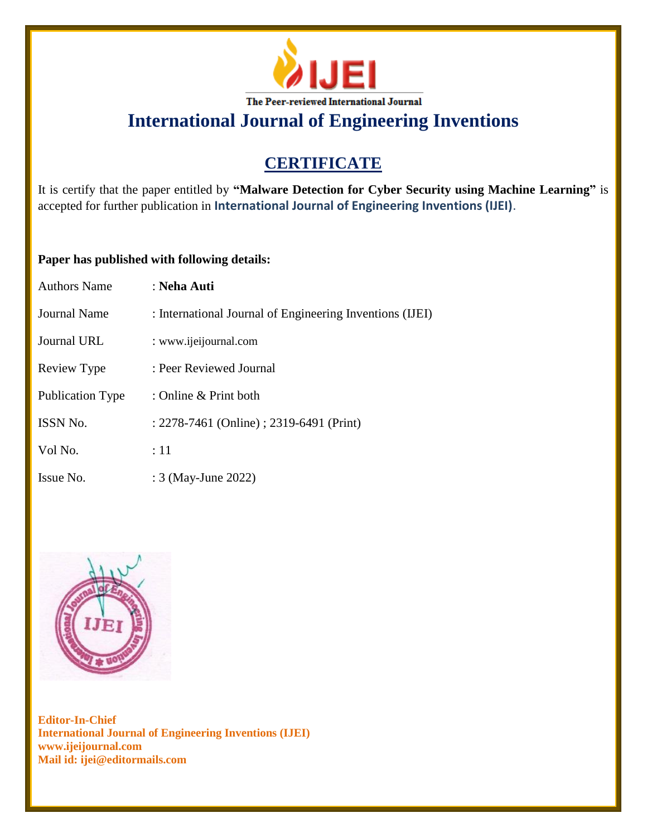

# **CERTIFICATE**

It is certify that the paper entitled by **"Malware Detection for Cyber Security using Machine Learning"** is accepted for further publication in **International Journal of Engineering Inventions (IJEI)**.

## **Paper has published with following details:**

| <b>Authors Name</b>     | : Neha Auti                                              |
|-------------------------|----------------------------------------------------------|
| <b>Journal Name</b>     | : International Journal of Engineering Inventions (IJEI) |
| Journal URL             | : www.ijeijournal.com                                    |
| Review Type             | : Peer Reviewed Journal                                  |
| <b>Publication Type</b> | : Online & Print both                                    |
| ISSN No.                | : 2278-7461 (Online) ; 2319-6491 (Print)                 |
| Vol No.                 | $\div 11$                                                |
| Issue No.               | : 3 (May-June 2022)                                      |